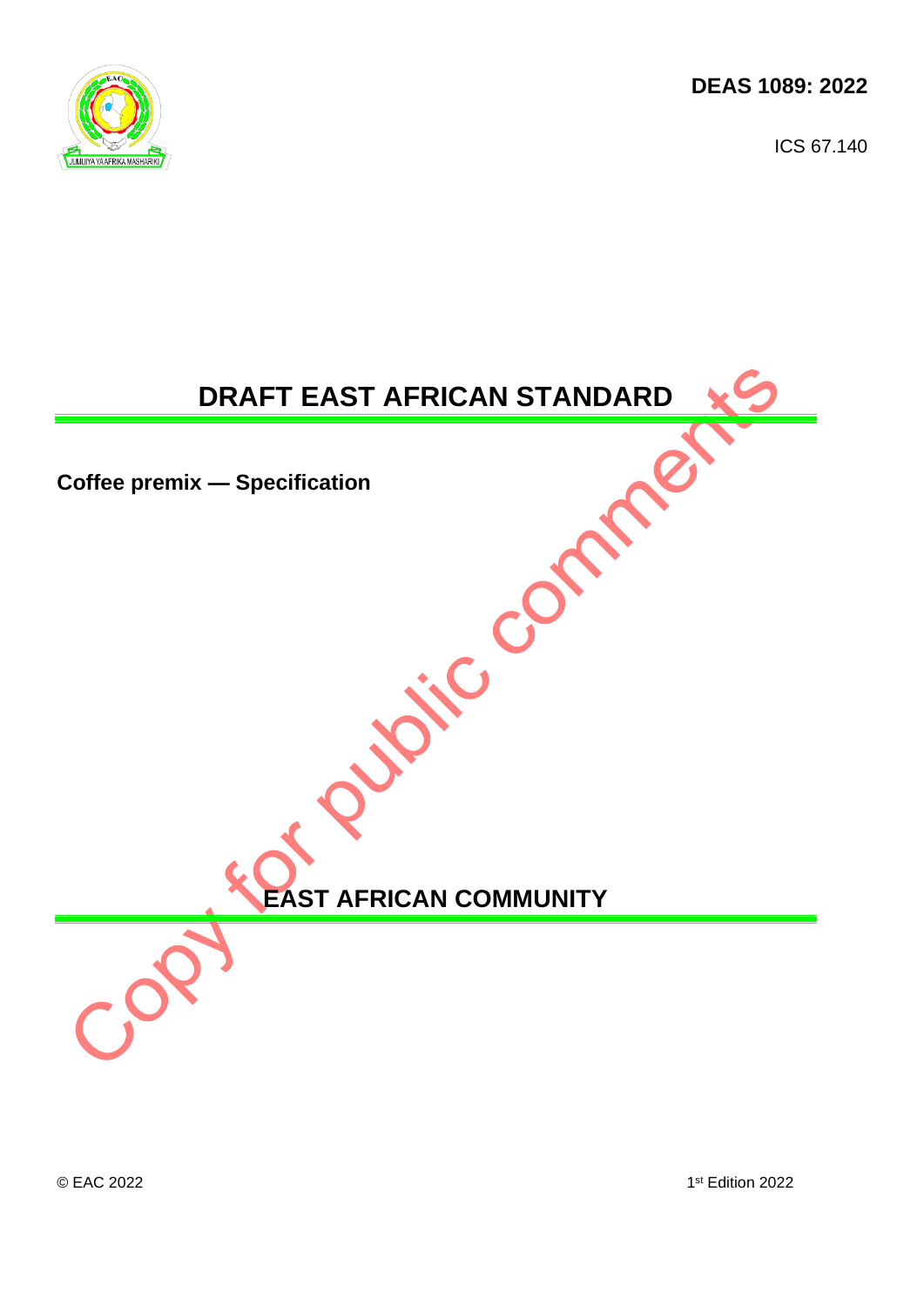**DEAS 1089: 2022** 

ICS 67.140



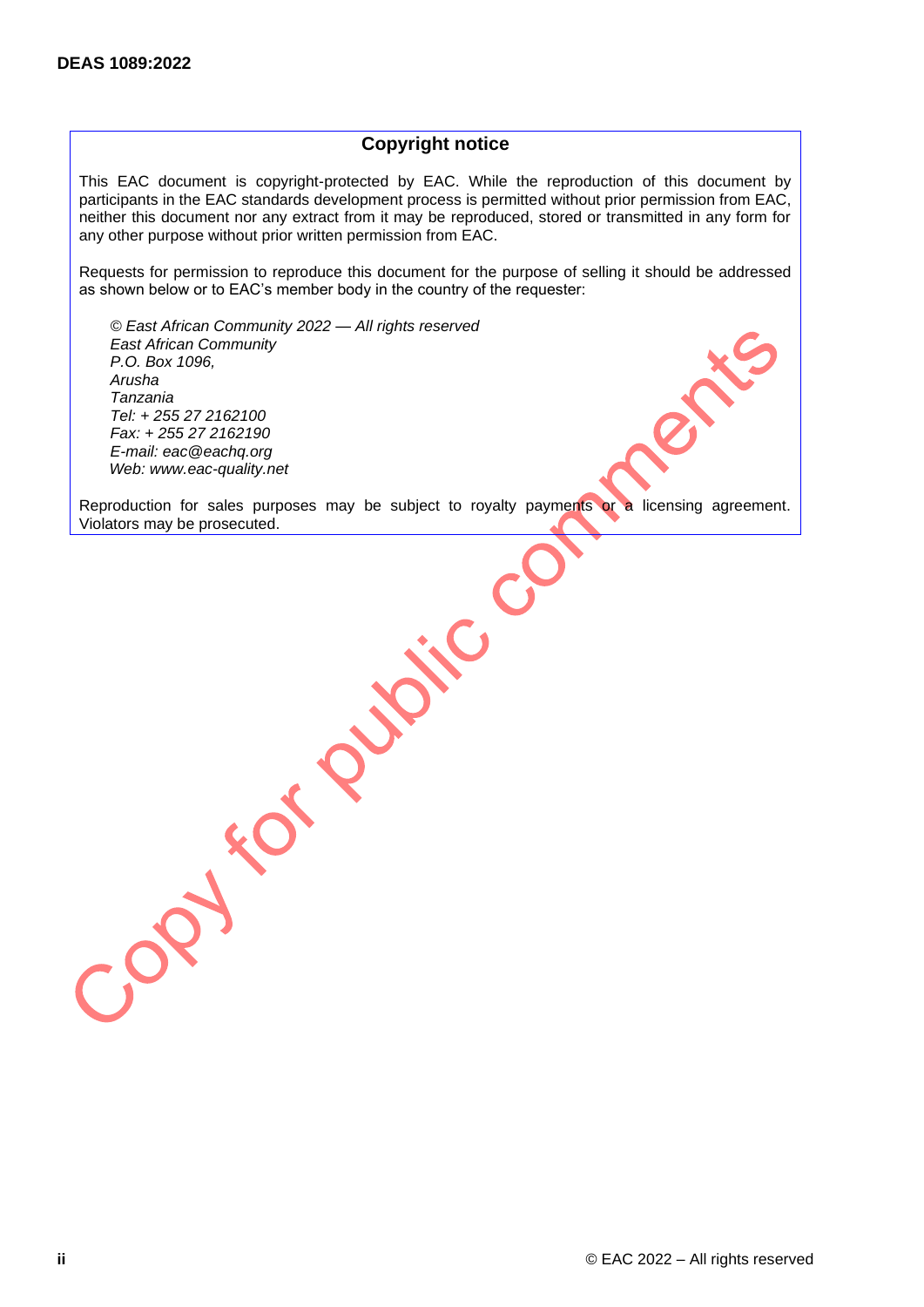## **Copyright notice**

This EAC document is copyright-protected by EAC. While the reproduction of this document by participants in the EAC standards development process is permitted without prior permission from EAC, neither this document nor any extract from it may be reproduced, stored or transmitted in any form for any other purpose without prior written permission from EAC.

Requests for permission to reproduce this document for the purpose of selling it should be addressed as shown below or to EAC's member body in the country of the requester:

*© East African Community 2022 — All rights reserved East African Community P.O. Box 1096, Arusha Tanzania Tel: + 255 27 2162100 Fax: + 255 27 2162190 E-mail: eac@eachq.org Web: www.eac-quality.net*

Reproduction for sales purposes may be subject to royalty payments or a licensing agreement. Joseph's project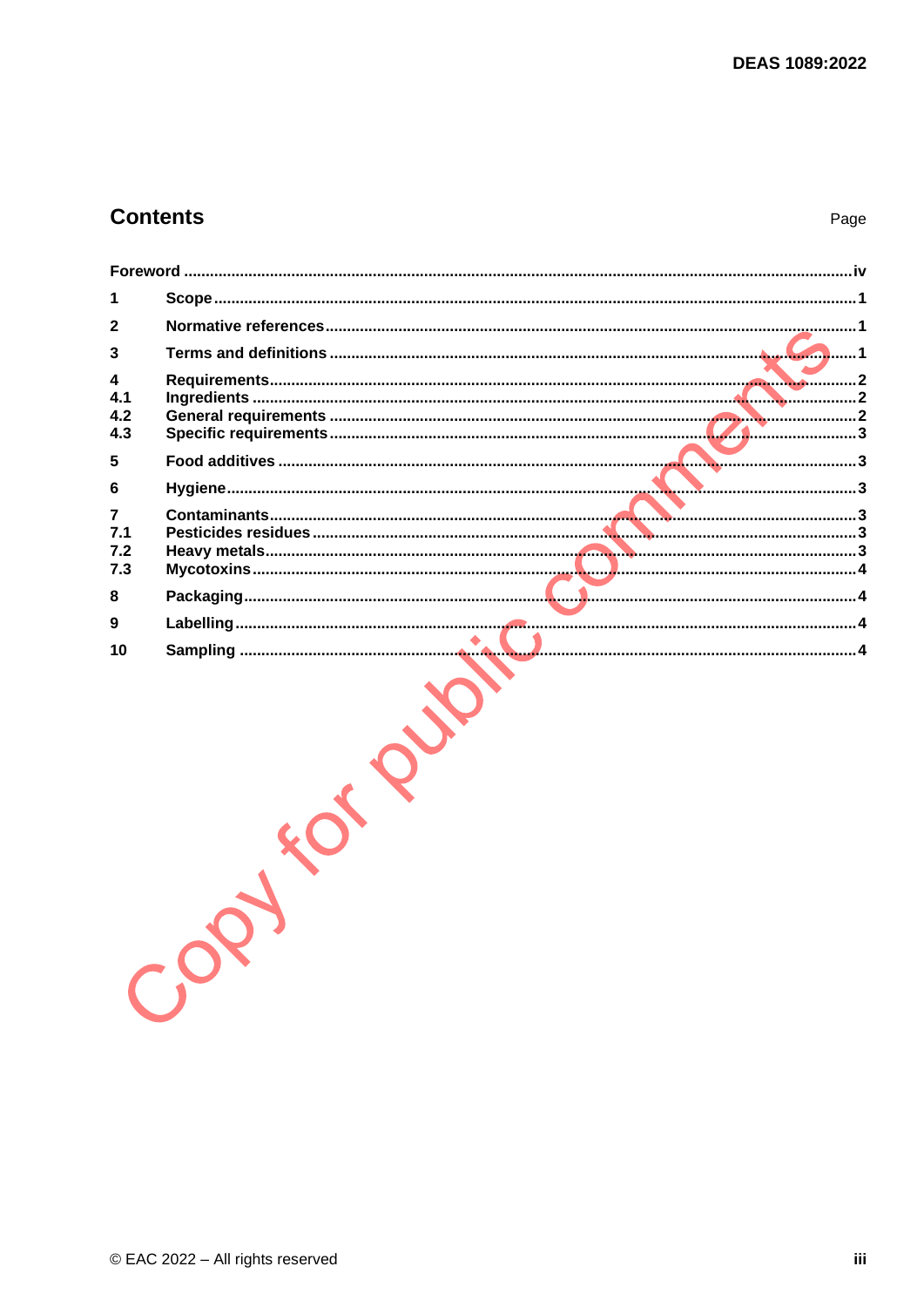# **Contents**

Page

| 2                      |  |
|------------------------|--|
| 3                      |  |
| 4<br>4.1<br>4.2<br>4.3 |  |
| 5                      |  |
| 6                      |  |
| 7<br>7.1<br>7.2<br>7.3 |  |
| 8                      |  |
| 9                      |  |
|                        |  |
|                        |  |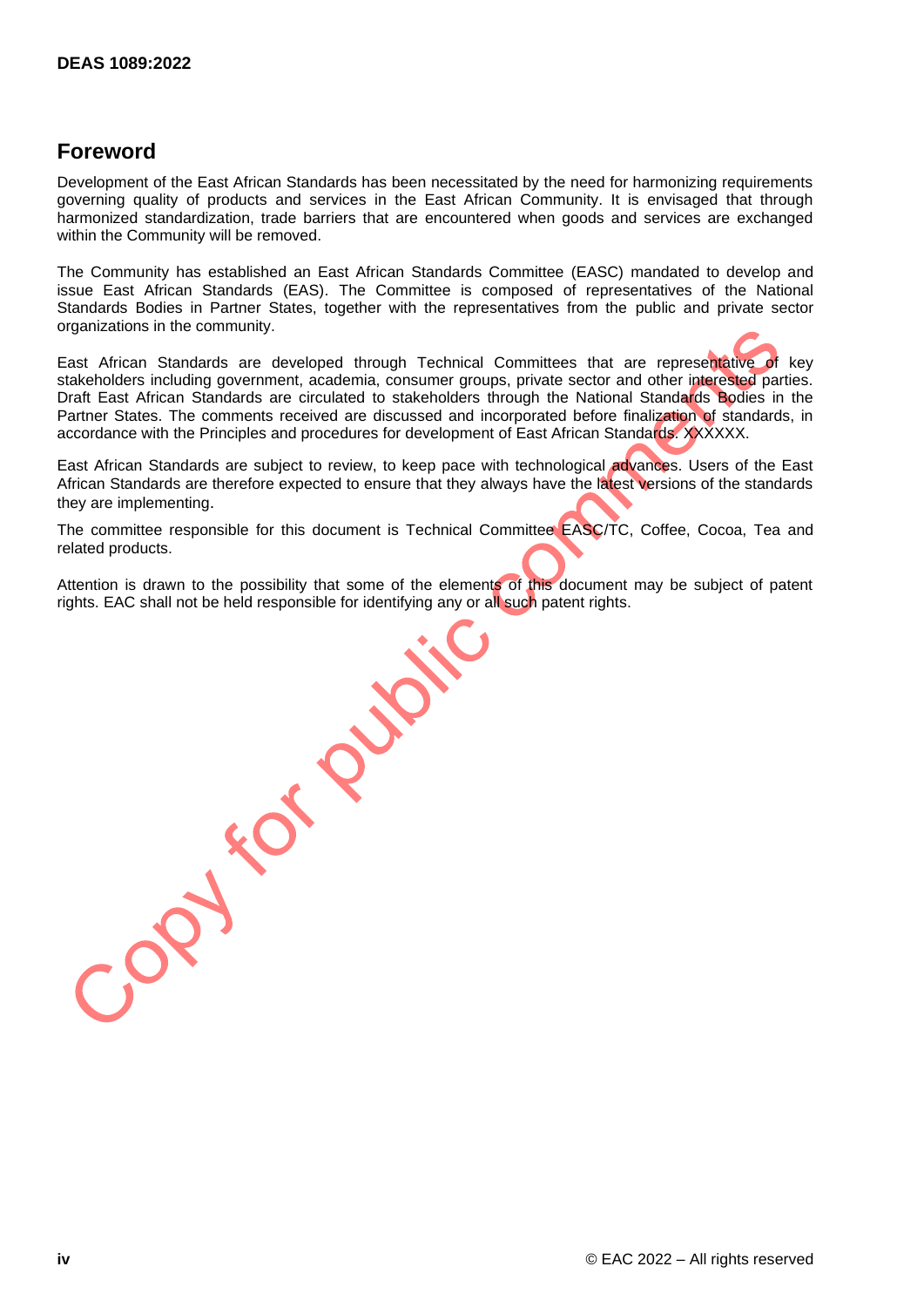## <span id="page-4-0"></span>**Foreword**

Development of the East African Standards has been necessitated by the need for harmonizing requirements governing quality of products and services in the East African Community. It is envisaged that through harmonized standardization, trade barriers that are encountered when goods and services are exchanged within the Community will be removed.

The Community has established an East African Standards Committee (EASC) mandated to develop and issue East African Standards (EAS). The Committee is composed of representatives of the National Standards Bodies in Partner States, together with the representatives from the public and private sector organizations in the community.

East African Standards are developed through Technical Committees that are representative of key stakeholders including government, academia, consumer groups, private sector and other interested parties. Draft East African Standards are circulated to stakeholders through the National Standards Bodies in the Partner States. The comments received are discussed and incorporated before finalization of standards, in accordance with the Principles and procedures for development of East African Standards. XXXXXX.

East African Standards are subject to review, to keep pace with technological advances. Users of the East African Standards are therefore expected to ensure that they always have the latest versions of the standards they are implementing.

The committee responsible for this document is Technical Committee EASC/TC, Coffee, Cocoa, Tea and related products.

Attention is drawn to the possibility that some of the elements of this document may be subject of patent<br>rights. EAC shall not be held responsible for identifying any or all such patent rights. rights. EAC shall not be held responsible for identifying any or all such patent rights.

**iv** © EAC 2022 – All rights reserved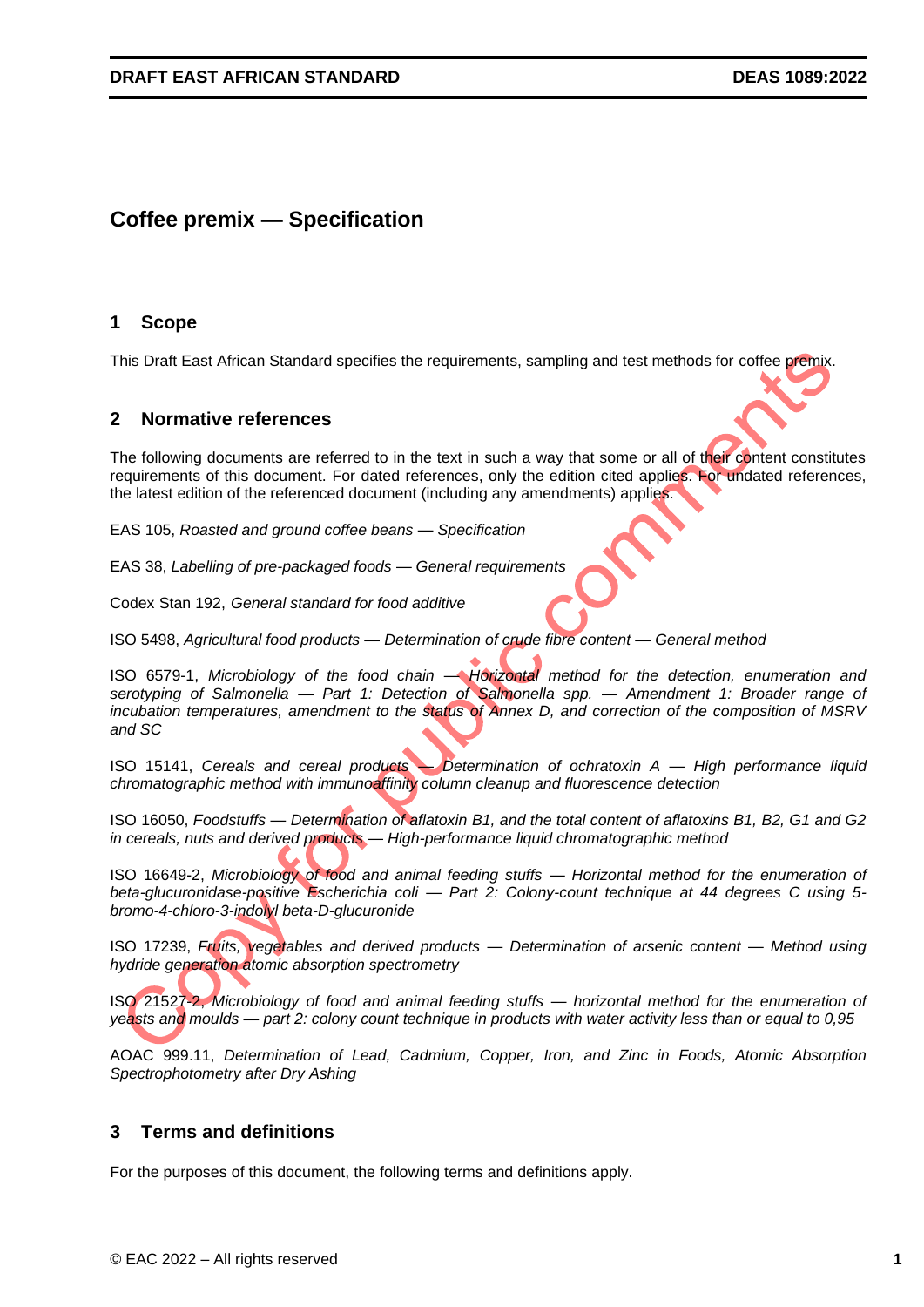# **Coffee premix — Specification**

## <span id="page-5-0"></span>**1 Scope**

This Draft East African Standard specifies the requirements, sampling and test methods for coffee premix.

#### <span id="page-5-1"></span>**2 Normative references**

The following documents are referred to in the text in such a way that some or all of their content constitutes requirements of this document. For dated references, only the edition cited applies. For undated references, the latest edition of the referenced document (including any amendments) applies.

EAS 105, *Roasted and ground coffee beans — Specification*

EAS 38, *Labelling of pre-packaged foods — General requirements*

Codex Stan 192, *General standard for food additive*

ISO 5498, *Agricultural food products — [Determination of crude fibre content —](https://www.iso.org/en/contents/data/standard/01/15/11544.html) General method*

ISO 6579-1, *Microbiology of the food chain — [Horizontal method for the detection, enumeration and](https://www.iso.org/en/contents/data/standard/07/66/76671.html)  serotyping of Salmonella — [Part 1: Detection of Salmonella spp. —](https://www.iso.org/en/contents/data/standard/07/66/76671.html) Amendment 1: Broader range of [incubation temperatures, amendment to the status of Annex D, and correction of the composition of MSRV](https://www.iso.org/en/contents/data/standard/07/66/76671.html)  [and SC](https://www.iso.org/en/contents/data/standard/07/66/76671.html)*

ISO 15141, *Cereals and cereal products — Determination of ochratoxin A — High performance liquid chromatographic method with immunoaffinity column cleanup and fluorescence detection*

ISO 16050, *Foodstuffs — Determination of aflatoxin B1, and the total content of aflatoxins B1, B2, G1 and G2 in cereals, nuts and derived products — High-performance liquid chromatographic method*

ISO 16649-2, *Microbiology of food and animal feeding stuffs — Horizontal method for the enumeration of beta-glucuronidase-positive Escherichia coli — Part 2: Colony-count technique at 44 degrees C using 5 bromo-4-chloro-3-indolyl beta-D-glucuronide*

ISO 17239, *Fruits, vegetables and derived products — Determination of arsenic content — Method using hydride generation atomic absorption spectrometry*

ISO 21527-2, *[Microbiology of food and animal feeding stuffs —](https://www.iso.org/contents/data/standard/03/82/38276.html) horizontal method for the enumeration of yeasts and moulds — [part 2: colony count technique in products with water activity less than or equal to 0,95](https://www.iso.org/contents/data/standard/03/82/38276.html)*

AOAC 999.11, *Determination of Lead, Cadmium, Copper, Iron, and Zinc in Foods, Atomic Absorption Spectrophotometry after Dry Ashing*

## <span id="page-5-2"></span>**3 Terms and definitions**

For the purposes of this document, the following terms and definitions apply.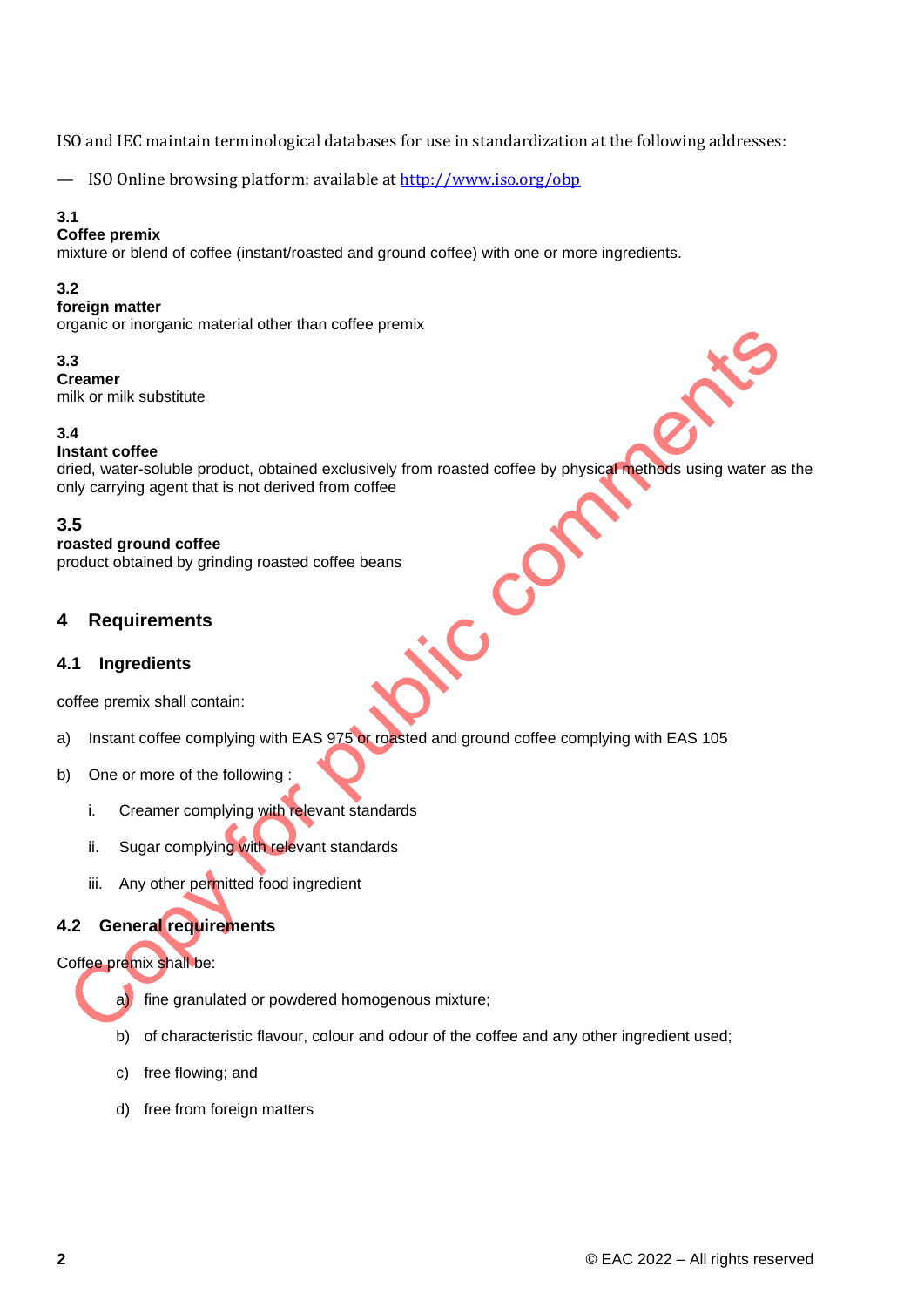ISO and IEC maintain terminological databases for use in standardization at the following addresses:

— ISO Online browsing platform: available at<http://www.iso.org/obp>

#### **3.1**

#### **Coffee premix**

mixture or blend of coffee (instant/roasted and ground coffee) with one or more ingredients.

#### **3.2**

#### **foreign matter**

organic or inorganic material other than coffee premix

#### **3.3**

**Creamer**  milk or milk substitute

#### **3.4**

#### **Instant coffee**

dried, water-soluble product, obtained exclusively from roasted coffee by physical methods using water as the only carrying agent that is not derived from coffee

 $\mathbf C$ 

## **3.5**

#### **roasted ground coffee**

product obtained by grinding roasted coffee beans

## <span id="page-6-0"></span>**4 Requirements**

#### <span id="page-6-1"></span>**4.1 Ingredients**

coffee premix shall contain:

- a) Instant coffee complying with EAS 975 or roasted and ground coffee complying with EAS 105
- b) One or more of the following :
	- i. Creamer complying with relevant standards
	- ii. Sugar complying with relevant standards
	- iii. Any other permitted food ingredient

## <span id="page-6-2"></span>**4.2 General requirements**

#### Coffee premix shall be:

a) fine granulated or powdered homogenous mixture;

- b) of characteristic flavour, colour and odour of the coffee and any other ingredient used;
- c) free flowing; and
- d) free from foreign matters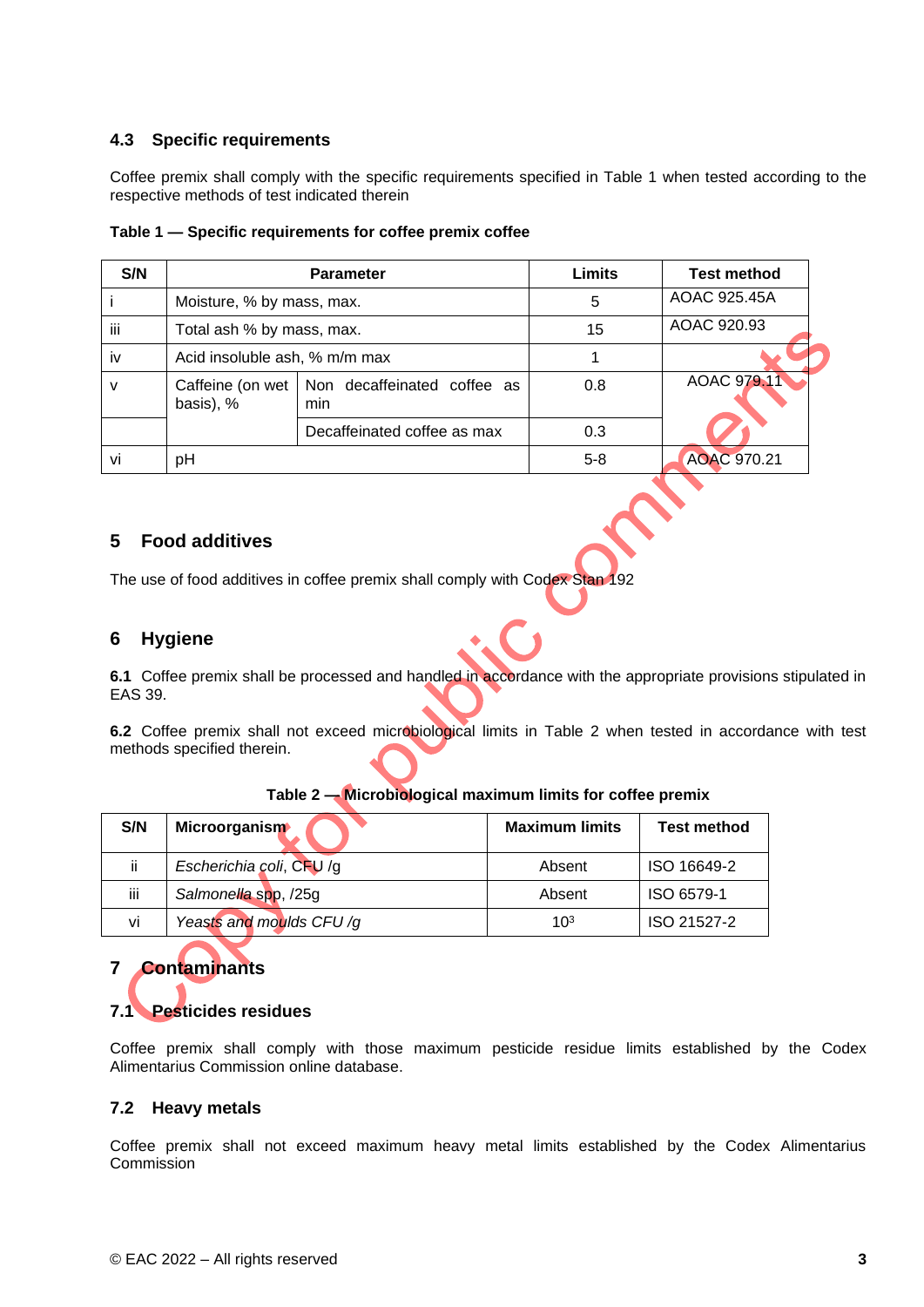## <span id="page-7-0"></span>**4.3 Specific requirements**

Coffee premix shall comply with the specific requirements specified in Table 1 when tested according to the respective methods of test indicated therein

| S/N |                               | <b>Parameter</b>                   | Limits  | <b>Test method</b> |
|-----|-------------------------------|------------------------------------|---------|--------------------|
|     | Moisture, % by mass, max.     |                                    | 5       | AOAC 925.45A       |
| iii | Total ash % by mass, max.     |                                    | 15      | AOAC 920.93        |
| iv  | Acid insoluble ash, % m/m max |                                    |         |                    |
| v   | Caffeine (on wet<br>basis), % | Non decaffeinated coffee as<br>min | 0.8     | AOAC 979.11        |
|     |                               | Decaffeinated coffee as max        | 0.3     |                    |
| vi  | pH                            |                                    | $5 - 8$ | AOAC 970.21        |

|  |  | Table 1 - Specific requirements for coffee premix coffee |
|--|--|----------------------------------------------------------|
|  |  |                                                          |

## <span id="page-7-1"></span>**5 Food additives**

The use of food additives in coffee premix shall comply with Codex Stan 192

## <span id="page-7-2"></span>**6 Hygiene**

**6.1** Coffee premix shall be processed and handled in accordance with the appropriate provisions stipulated in EAS 39.

**6.2** Coffee premix shall not exceed microbiological limits in Table 2 when tested in accordance with test methods specified therein.

| S/N | <b>Microorganism</b>     | <b>Maximum limits</b> | <b>Test method</b> |
|-----|--------------------------|-----------------------|--------------------|
| ii. | Escherichia coli, CFU /g | Absent                | ISO 16649-2        |
| iii | Salmonella spp, /25g     | Absent                | ISO 6579-1         |
| vi  | Yeasts and moulds CFU/g  | 10 <sup>3</sup>       | ISO 21527-2        |

#### **Table 2 — Microbiological maximum limits for coffee premix**

# <span id="page-7-3"></span>**7 Contaminants 7.1 Pesticides residues**

<span id="page-7-4"></span>Coffee premix shall comply with those maximum pesticide residue limits established by the Codex Alimentarius Commission online database.

#### <span id="page-7-5"></span>**7.2 Heavy metals**

Coffee premix shall not exceed maximum heavy metal limits established by the Codex Alimentarius **Commission**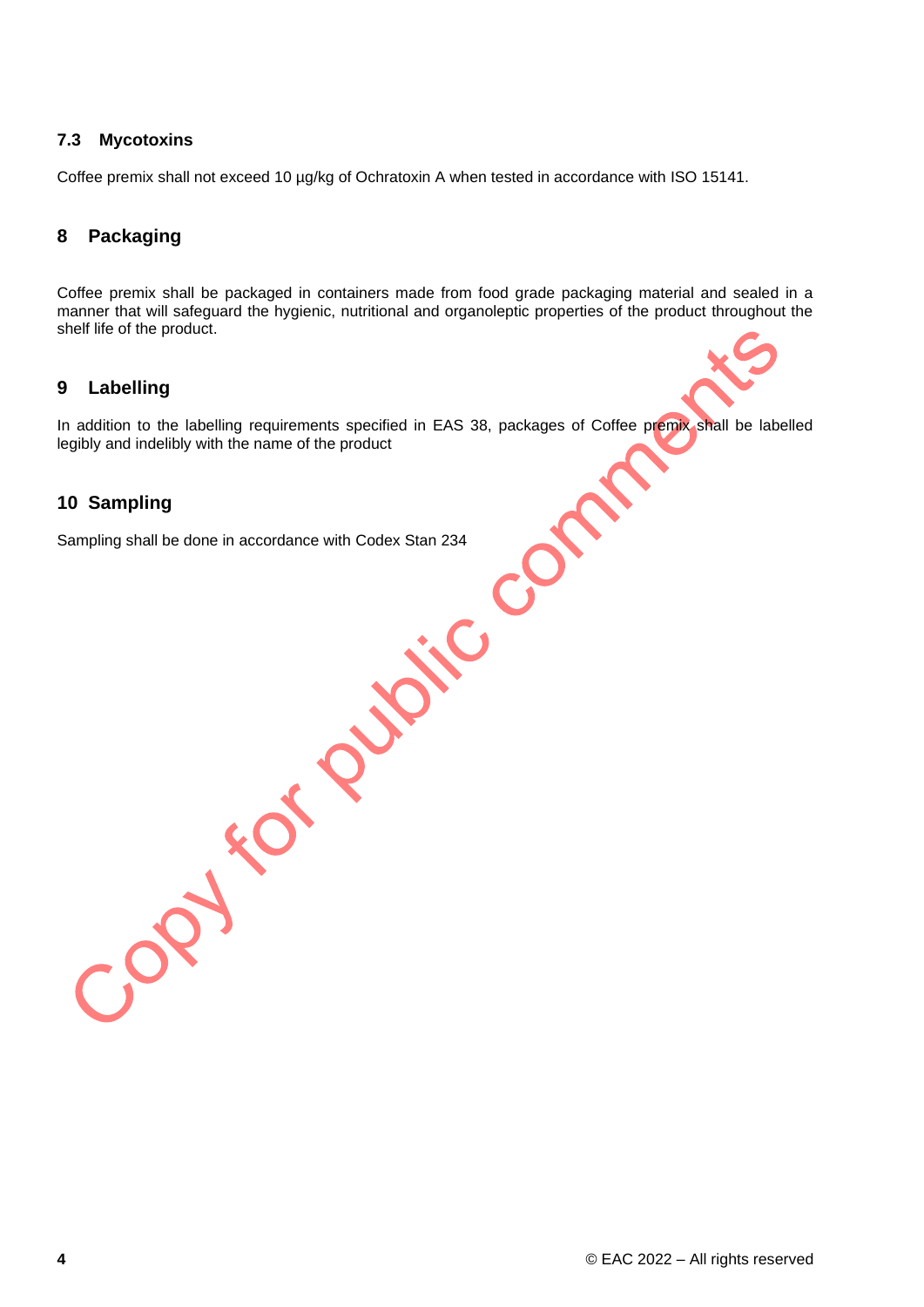## <span id="page-8-0"></span>**7.3 Mycotoxins**

Coffee premix shall not exceed 10 µg/kg of Ochratoxin A when tested in accordance with ISO 15141.

## <span id="page-8-1"></span>**8 Packaging**

Coffee premix shall be packaged in containers made from food grade packaging material and sealed in a manner that will safeguard the hygienic, nutritional and organoleptic properties of the product throughout the shelf life of the product.

## <span id="page-8-2"></span>**9 Labelling**

In addition to the labelling requirements specified in EAS 38, packages of Coffee premix shall be labelled legibly and indelibly with the name of the product

## <span id="page-8-3"></span>**10 Sampling**

Sampling shall be done in accordance with Codex Stan 234